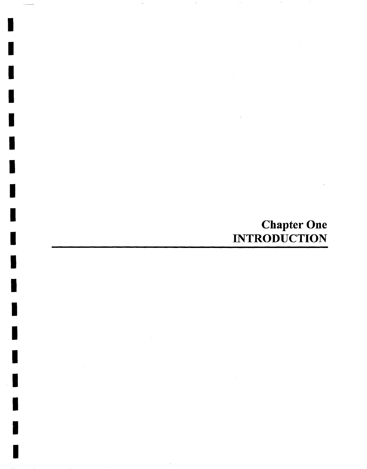# Chapter One INTRODUCTION

I

I

I

I

I

I

I

I

I

I

I

I

I

I

I

I

I

I

I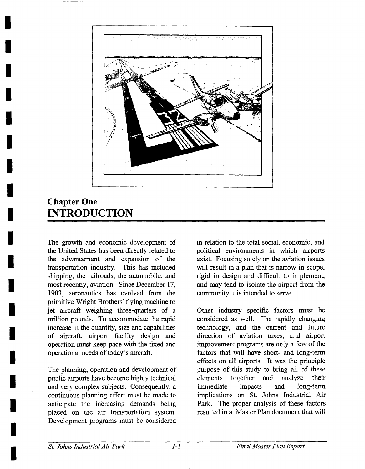

## **Chapter One INTRODUCTION**

**I** 

**I** 

**!** 

**I** 

**I** 

**I** 

**I** 

**I** 

**I** 

**I** 

**I** 

**I** 

**I** 

**I** 

**I** 

**I** 

**I** 

**I** 

*I* 

The growth and economic development of the United States has been directly related to the advancement and expansion of the transportation industry. This has included shipping, the railroads, the automobile, and most recently, aviation. Since December 17, 1903, aeronautics has evolved from the primitive Wright Brothers' flying machine to jet aircraft weighing three-quarters of a million pounds. To accommodate the rapid increase in the quantity, size and capabilities of aircraft, airport facility design and operation must keep pace with the fixed and operational needs of today's aircraft.

The planning, operation and development of public airports have become highly technical and very complex subjects. Consequently, a continuous planning effort must be made to anticipate the increasing demands being placed on the air transportation system. Development programs must be considered in relation to the total social, economic, and political environments in which airports exist. Focusing solely on the aviation issues will result in a plan that is narrow in scope, rigid in design and difficult to implement, and may tend to isolate the airport from the community it is intended to serve.

Other industry specific factors must be considered as well. The rapidly changing technology, and the current and future direction of aviation taxes, and airport improvement programs are only a few of the factors that will have short- and long-term effects on all airports. It was the principle purpose of this study to bring all of these elements together and analyze their immediate impacts and long-term implications on St. Johns Industrial Air Park. The proper analysis of these factors resulted in a Master Plan document that will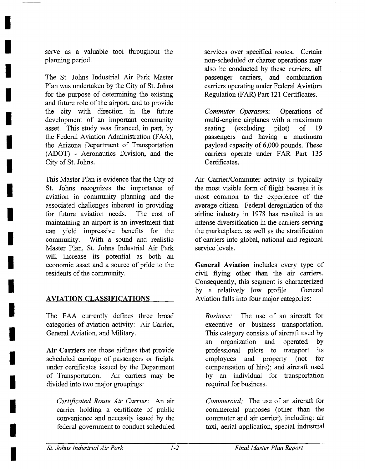serve as a valuable tool throughout the planning period.

**I** 

**I** 

**I** 

**I** 

**I** 

**I** 

**I** 

**I** 

**I** 

**I** 

**I** 

**I** 

**I** 

**I** 

**I** 

**I** 

**I** 

**I** 

**I** 

The St. Johns Industrial Air Park Master Plan was undertaken by the City of St. Johns for the purpose of determining the existing and future role of the airport, and to provide the city with direction in the future development of an important community asset. This study was financed, in part, by the Federal Aviation Administration (FAA), the Arizona Department of Transportation (ADOT) - Aeronautics Division, and the City of St. Johns.

This Master Plan is evidence that the City of St. Johns recognizes the importance of aviation in community planning and the associated challenges inherent in providing for future aviation needs. The cost of maintaining an airport is an investment that can yield impressive benefits for the community. With a sound and realistic Master Plan, St. Johns Industrial Air Park will increase its potential as both an economic asset and a source of pride to the residents of the community.

### AVIATION CLASSIFICATIONS

The FAA currently defines three broad categories of aviation activity: Air Carrier, General Aviation, and Military.

Air Carriers are those airlines that provide scheduled carriage of passengers or freight under certificates issued by the Department of Transportation. Air carriers may be divided into two major groupings:

*Certificated Route Air Carrier:* An air carrier holding a certificate of public convenience and necessity issued by the federal government to conduct scheduled services over specified routes. Certain non-scheduled or charter operations may also be conducted by these carriers, all passenger carriers, and combination carriers operating under Federal Aviation Regulation (FAR) Part 121 Certificates.

*Commuter Operators:* Operations of multi-engine airplanes with a maximum seating (excluding pilot) of 19 passengers and having a maximum payload capacity of 6,000 pounds. These carriers operate under FAR Part 135 Certificates.

Air Carrier/Commuter activity is typically the most visible form of flight because it is most common to the experience of the average citizen. Federal deregulation of the airline industry in 1978 has resulted in an intense diversification in the carriers serving the marketplace, as well as the stratification of carriers into global, national and regional service levels.

General Aviation includes every type of civil flying other than the air carriers. Consequently, this segment is characterized by a relatively low profile. General Aviation falls into four major categories:

*Business:* The use of an aircraft for executive or business transportation. This category consists of aircraft used by an organization and operated by professional pilots to transport its employees and property (not for compensation of hire); and aircraft used by an individual for transportation required for business.

*Commercial:* The use of an aircraft for commercial purposes (other than the commuter and air carrier), including: air taxi, aerial application, special industrial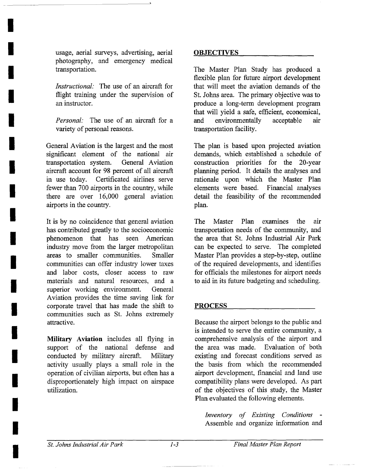usage, aerial surveys, advertising, aerial photography, and emergency medical transportation.

**I** 

**I** 

**I** 

**I** 

**!** 

**I** 

**I** 

**I** 

**I** 

**I** 

**I** 

**I** 

**II** 

**I** 

**I** 

**I** 

**I** 

**I** 

**I** 

*Instructional:* The use of an aircraft for flight training under the supervision of an instructor.

*Personal."* The use of an aircraft for a variety of personal reasons.

General Aviation is the largest and the most significant element of the national air transportation system. General Aviation aircraft account for 98 percent of all aircraft in use today. Certificated airlines serve fewer than 700 airports in the country, while there are over 16,000 general aviation airports in the country.

It is by no coincidence that general aviation has contributed greatly to the socioeconomic phenomenon that has seen American industry move from the larger metropolitan areas to smaller communities. Smaller communities can offer industry lower taxes and labor costs, closer access to raw materials and natural resources, and a superior working environment. General Aviation provides the time saving link for corporate travel that has made the shift to communities such as St. Johns extremely attractive.

Military Aviation includes all flying in support of the national defense and conducted by military aircraft. Military activity usually plays a small role in the operation of civilian airports, but often has a disproportionately high impact on airspace utilization.

#### **OBJECTIVES**

The Master Plan Study has produced a flexible plan for future airport development that will meet the aviation demands of the St. Johns area. The primary objective was to produce a long-term development program that will yield a safe, efficient, economical, and environmentally acceptable air transportation facility.

The plan is based upon projected aviation demands, which established a schedule of construction priorities for the 20-year planning period. It details the analyses and rationale upon which the Master Plan elements were based. Financial analyses detail the feasibility of the recommended plan.

The Master Plan examines the air transportation needs of the community, and the area that St. Johns Industrial Air Park can be expected to serve. The completed Master Plan provides a step-by-step, outline of the required developments, and identifies for officials the milestones for airport needs to aid in its future budgeting and scheduling.

#### **PROCESS**

Because the airport belongs to the public and is intended to serve the entire community, a comprehensive analysis of the airport and the area was made. Evaluation of both existing and forecast conditions served as the basis from which the recommended airport development, financial and land use compatibility plans were developed. As part of the objectives of this study, the Master Plan evaluated the following elements.

*Inventory of Existing Conditions -*  Assemble and organize information and